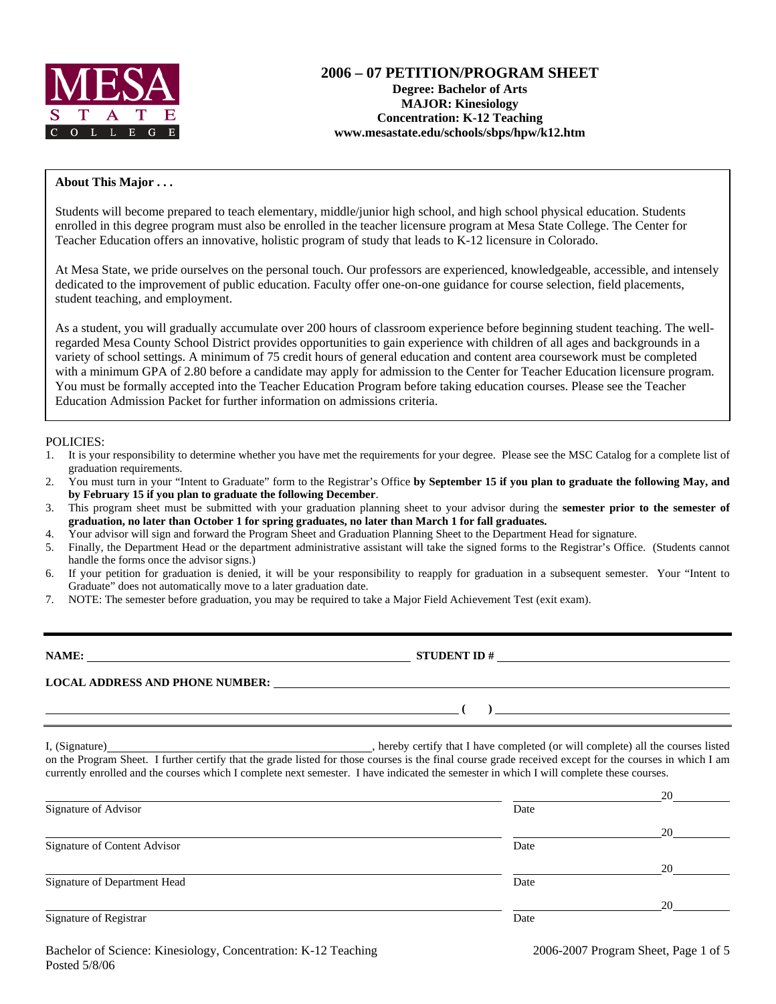

# **2006 – 07 PETITION/PROGRAM SHEET Degree: Bachelor of Arts MAJOR: Kinesiology Concentration: K-12 Teaching www.mesastate.edu/schools/sbps/hpw/k12.htm**

#### **About This Major . . .**

Students will become prepared to teach elementary, middle/junior high school, and high school physical education. Students enrolled in this degree program must also be enrolled in the teacher licensure program at Mesa State College. The Center for Teacher Education offers an innovative, holistic program of study that leads to K-12 licensure in Colorado.

At Mesa State, we pride ourselves on the personal touch. Our professors are experienced, knowledgeable, accessible, and intensely dedicated to the improvement of public education. Faculty offer one-on-one guidance for course selection, field placements, student teaching, and employment.

As a student, you will gradually accumulate over 200 hours of classroom experience before beginning student teaching. The wellregarded Mesa County School District provides opportunities to gain experience with children of all ages and backgrounds in a variety of school settings. A minimum of 75 credit hours of general education and content area coursework must be completed with a minimum GPA of 2.80 before a candidate may apply for admission to the Center for Teacher Education licensure program. You must be formally accepted into the Teacher Education Program before taking education courses. Please see the Teacher Education Admission Packet for further information on admissions criteria.

#### POLICIES:

- 1. It is your responsibility to determine whether you have met the requirements for your degree. Please see the MSC Catalog for a complete list of graduation requirements.
- 2. You must turn in your "Intent to Graduate" form to the Registrar's Office **by September 15 if you plan to graduate the following May, and by February 15 if you plan to graduate the following December**.
- 3. This program sheet must be submitted with your graduation planning sheet to your advisor during the **semester prior to the semester of graduation, no later than October 1 for spring graduates, no later than March 1 for fall graduates.**
- 4. Your advisor will sign and forward the Program Sheet and Graduation Planning Sheet to the Department Head for signature.
- 5. Finally, the Department Head or the department administrative assistant will take the signed forms to the Registrar's Office. (Students cannot handle the forms once the advisor signs.)
- 6. If your petition for graduation is denied, it will be your responsibility to reapply for graduation in a subsequent semester. Your "Intent to Graduate" does not automatically move to a later graduation date.
- 7. NOTE: The semester before graduation, you may be required to take a Major Field Achievement Test (exit exam).

**NAME: STUDENT ID # LOCAL ADDRESS AND PHONE NUMBER: ( )** 

I, (Signature) , hereby certify that I have completed (or will complete) all the courses listed on the Program Sheet. I further certify that the grade listed for those courses is the final course grade received except for the courses in which I am currently enrolled and the courses which I complete next semester. I have indicated the semester in which I will complete these courses.

|                                     |      | 20 |
|-------------------------------------|------|----|
| Signature of Advisor                | Date |    |
|                                     |      | 20 |
| <b>Signature of Content Advisor</b> | Date |    |
|                                     |      | 20 |
| Signature of Department Head        | Date |    |
|                                     |      | 20 |
| Signature of Registrar              | Date |    |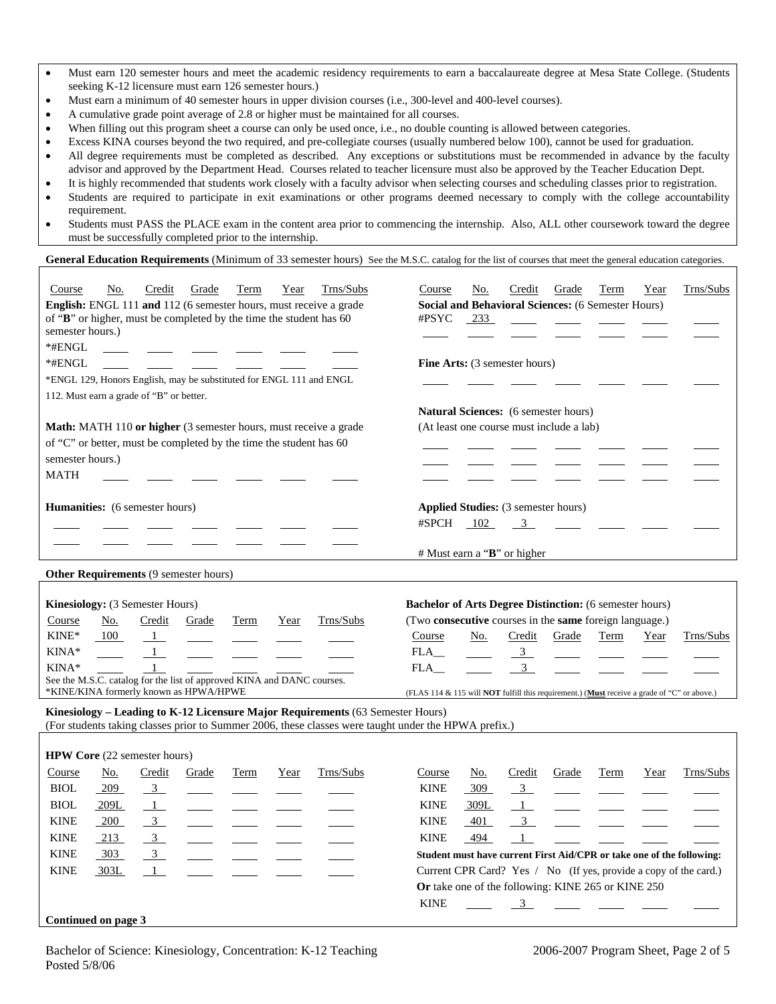| Must earn 120 semester hours and meet the academic residency requirements to earn a baccalaureate degree at Mesa State College. (Students |
|-------------------------------------------------------------------------------------------------------------------------------------------|
| seeking K-12 licensure must earn 126 semester hours.)                                                                                     |

- Must earn a minimum of 40 semester hours in upper division courses (i.e., 300-level and 400-level courses).
- A cumulative grade point average of 2.8 or higher must be maintained for all courses.
- When filling out this program sheet a course can only be used once, i.e., no double counting is allowed between categories.
- Excess KINA courses beyond the two required, and pre-collegiate courses (usually numbered below 100), cannot be used for graduation.
- All degree requirements must be completed as described. Any exceptions or substitutions must be recommended in advance by the faculty advisor and approved by the Department Head. Courses related to teacher licensure must also be approved by the Teacher Education Dept.
- It is highly recommended that students work closely with a faculty advisor when selecting courses and scheduling classes prior to registration.
- Students are required to participate in exit examinations or other programs deemed necessary to comply with the college accountability requirement.
- Students must PASS the PLACE exam in the content area prior to commencing the internship. Also, ALL other coursework toward the degree must be successfully completed prior to the internship.

### **General Education Requirements** (Minimum of 33 semester hours) See the M.S.C. catalog for the list of courses that meet the general education categories.

| Course<br>of "B" or higher, must be completed by the time the student has 60<br>semester hours.)<br>$*$ #ENGL<br>*#ENGL<br>112. Must earn a grade of "B" or better. | No.        | Credit         | Grade                                  | <b>Term</b><br>*ENGL 129, Honors English, may be substituted for ENGL 111 and ENGL | Year | Trns/Subs<br>English: ENGL 111 and 112 (6 semester hours, must receive a grade                                                                                                         | Course<br>#PSYC                                                                                                                     | No.<br>233 | Credit<br><b>Fine Arts:</b> (3 semester hours)                                            | Grade<br><b>Social and Behavioral Sciences: (6 Semester Hours)</b>                      | Term | Year | Trns/Subs                                                             |
|---------------------------------------------------------------------------------------------------------------------------------------------------------------------|------------|----------------|----------------------------------------|------------------------------------------------------------------------------------|------|----------------------------------------------------------------------------------------------------------------------------------------------------------------------------------------|-------------------------------------------------------------------------------------------------------------------------------------|------------|-------------------------------------------------------------------------------------------|-----------------------------------------------------------------------------------------|------|------|-----------------------------------------------------------------------|
| of "C" or better, must be completed by the time the student has 60<br>semester hours.)<br><b>MATH</b>                                                               |            |                |                                        |                                                                                    |      | Math: MATH 110 or higher (3 semester hours, must receive a grade                                                                                                                       |                                                                                                                                     |            |                                                                                           | <b>Natural Sciences:</b> (6 semester hours)<br>(At least one course must include a lab) |      |      |                                                                       |
| <b>Humanities:</b> (6 semester hours)                                                                                                                               |            |                |                                        |                                                                                    |      |                                                                                                                                                                                        | #SPCH                                                                                                                               | 102        | <b>Applied Studies:</b> (3 semester hours)<br>$\mathbf{3}$<br># Must earn a "B" or higher |                                                                                         |      |      |                                                                       |
| Other Requirements (9 semester hours)                                                                                                                               |            |                |                                        |                                                                                    |      |                                                                                                                                                                                        |                                                                                                                                     |            |                                                                                           |                                                                                         |      |      |                                                                       |
| Kinesiology: (3 Semester Hours)<br>Course<br>KINE*                                                                                                                  | No.<br>100 | Credit<br>- 1  | Grade                                  | Term                                                                               | Year | Trns/Subs                                                                                                                                                                              | <b>Bachelor of Arts Degree Distinction:</b> (6 semester hours)<br>(Two consecutive courses in the same foreign language.)<br>Course | No.        | Credit                                                                                    | Grade                                                                                   | Term | Year | Trns/Subs                                                             |
| KINA*<br>KINA*<br>See the M.S.C. catalog for the list of approved KINA and DANC courses.                                                                            |            |                | *KINE/KINA formerly known as HPWA/HPWE |                                                                                    |      |                                                                                                                                                                                        | FLA<br>FLA<br>(FLAS 114 & 115 will <b>NOT</b> fulfill this requirement.) (Must receive a grade of "C" or above.)                    |            | 3<br>3                                                                                    |                                                                                         |      |      |                                                                       |
|                                                                                                                                                                     |            |                |                                        |                                                                                    |      | Kinesiology - Leading to K-12 Licensure Major Requirements (63 Semester Hours)<br>(For students taking classes prior to Summer 2006, these classes were taught under the HPWA prefix.) |                                                                                                                                     |            |                                                                                           |                                                                                         |      |      |                                                                       |
| HPW Core (22 semester hours)                                                                                                                                        |            |                |                                        |                                                                                    |      |                                                                                                                                                                                        |                                                                                                                                     |            |                                                                                           |                                                                                         |      |      |                                                                       |
| Course                                                                                                                                                              | No.        | Credit         | Grade                                  | Term                                                                               | Year | Trns/Subs                                                                                                                                                                              | Course                                                                                                                              | No.        | Credit                                                                                    | Grade                                                                                   | Term | Year | Trns/Subs                                                             |
| <b>BIOL</b>                                                                                                                                                         | 209        | $\overline{3}$ |                                        |                                                                                    |      |                                                                                                                                                                                        | <b>KINE</b>                                                                                                                         | 309        | $\mathbf{3}$                                                                              |                                                                                         |      |      |                                                                       |
| <b>BIOL</b>                                                                                                                                                         | 209L       | $\overline{1}$ |                                        |                                                                                    |      |                                                                                                                                                                                        | <b>KINE</b>                                                                                                                         | 309L       | $\mathbf{1}$                                                                              |                                                                                         |      |      |                                                                       |
| <b>KINE</b>                                                                                                                                                         | 200        | $\overline{3}$ |                                        |                                                                                    |      |                                                                                                                                                                                        | <b>KINE</b>                                                                                                                         | 401        | $\mathfrak{Z}$                                                                            |                                                                                         |      |      |                                                                       |
| <b>KINE</b>                                                                                                                                                         | 213        | $\mathbf{3}$   |                                        |                                                                                    |      |                                                                                                                                                                                        | <b>KINE</b>                                                                                                                         | 494        | $\mathbf{1}$                                                                              |                                                                                         |      |      |                                                                       |
| <b>KINE</b>                                                                                                                                                         | 303        | $\overline{3}$ |                                        |                                                                                    |      |                                                                                                                                                                                        |                                                                                                                                     |            |                                                                                           |                                                                                         |      |      | Student must have current First Aid/CPR or take one of the following: |
| <b>KINE</b>                                                                                                                                                         | 303L       | $\mathbf{1}$   |                                        |                                                                                    |      |                                                                                                                                                                                        |                                                                                                                                     |            |                                                                                           |                                                                                         |      |      | Current CPR Card? Yes / No (If yes, provide a copy of the card.)      |
|                                                                                                                                                                     |            |                |                                        |                                                                                    |      |                                                                                                                                                                                        | <b>KINE</b>                                                                                                                         |            | $\mathbf{3}$                                                                              | Or take one of the following: KINE 265 or KINE 250                                      |      |      |                                                                       |
| Continued on page 3                                                                                                                                                 |            |                |                                        |                                                                                    |      |                                                                                                                                                                                        |                                                                                                                                     |            |                                                                                           |                                                                                         |      |      |                                                                       |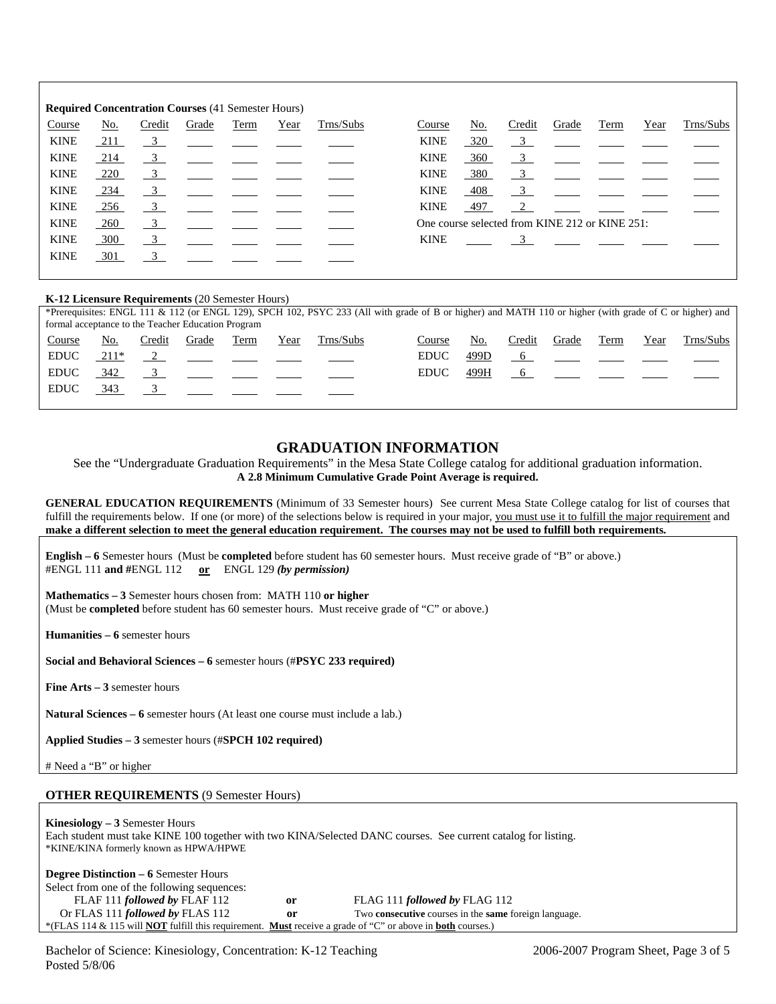| <b>Required Concentration Courses (41 Semester Hours)</b> |            |                           |       |      |      |           |             |            |                                                |       |      |      |           |
|-----------------------------------------------------------|------------|---------------------------|-------|------|------|-----------|-------------|------------|------------------------------------------------|-------|------|------|-----------|
| Course                                                    | <u>No.</u> | Credit                    | Grade | Term | Year | Trns/Subs | Course      | <u>No.</u> | Credit                                         | Grade | Term | Year | Trns/Subs |
| <b>KINE</b>                                               | <u>211</u> | $\frac{3}{2}$             |       |      |      |           | <b>KINE</b> | 320        | $\overline{\phantom{0}3}$                      |       |      |      |           |
| <b>KINE</b>                                               | 214        | $\overline{\mathbf{3}}$   |       |      |      |           | <b>KINE</b> | 360        | $\overline{\mathbf{3}}$                        |       |      |      |           |
| <b>KINE</b>                                               | <u>220</u> | $\overline{\phantom{0}3}$ |       |      |      |           | <b>KINE</b> | 380        | $\overline{3}$                                 |       |      |      |           |
| <b>KINE</b>                                               | 234        | $\frac{3}{2}$             |       |      |      |           | <b>KINE</b> | 408        | $\mathbf{3}$                                   |       |      |      |           |
| <b>KINE</b>                                               | 256        | $\overline{\mathbf{3}}$   |       |      |      |           | <b>KINE</b> | 497        | 2                                              |       |      |      |           |
| <b>KINE</b>                                               | 260        | $\frac{3}{2}$             |       |      |      |           |             |            | One course selected from KINE 212 or KINE 251: |       |      |      |           |
| <b>KINE</b>                                               | 300        | $\overline{3}$            |       |      |      |           | <b>KINE</b> |            | $\overline{3}$                                 |       |      |      |           |
| <b>KINE</b>                                               | 301        | $\overline{3}$            |       |      |      |           |             |            |                                                |       |      |      |           |
|                                                           |            |                           |       |      |      |           |             |            |                                                |       |      |      |           |

#### **K-12 Licensure Requirements** (20 Semester Hours)

|             | *Prerequisites: ENGL 111 & 112 (or ENGL 129), SPCH 102, PSYC 233 (All with grade of B or higher) and MATH 110 or higher (with grade of C or higher) and<br>formal acceptance to the Teacher Education Program |        |       |      |      |           |             |      |             |       |                                                                                                                 |      |           |
|-------------|---------------------------------------------------------------------------------------------------------------------------------------------------------------------------------------------------------------|--------|-------|------|------|-----------|-------------|------|-------------|-------|-----------------------------------------------------------------------------------------------------------------|------|-----------|
| Course      | No.                                                                                                                                                                                                           | Credit | Grade | Term | Year | Trns/Subs | Course      | No.  | Credit      | Grade | Term                                                                                                            | Year | Trns/Subs |
| <b>EDUC</b> | $211*$                                                                                                                                                                                                        |        |       |      |      |           | <b>EDUC</b> | 499D |             |       | the contract of the contract of the contract of the contract of the contract of the contract of the contract of |      |           |
| <b>EDUC</b> | 342                                                                                                                                                                                                           |        |       |      |      |           | <b>EDUC</b> | 499H | $6^{\circ}$ |       |                                                                                                                 |      |           |
| <b>EDUC</b> | 343                                                                                                                                                                                                           |        |       |      |      |           |             |      |             |       |                                                                                                                 |      |           |
|             |                                                                                                                                                                                                               |        |       |      |      |           |             |      |             |       |                                                                                                                 |      |           |

### **GRADUATION INFORMATION**

See the "Undergraduate Graduation Requirements" in the Mesa State College catalog for additional graduation information. **A 2.8 Minimum Cumulative Grade Point Average is required.**

**GENERAL EDUCATION REQUIREMENTS** (Minimum of 33 Semester hours) See current Mesa State College catalog for list of courses that fulfill the requirements below. If one (or more) of the selections below is required in your major, you must use it to fulfill the major requirement and **make a different selection to meet the general education requirement. The courses may not be used to fulfill both requirements.**

**English – 6** Semester hours (Must be **completed** before student has 60 semester hours. Must receive grade of "B" or above.) #ENGL 111 **and #**ENGL 112 **or** ENGL 129 *(by permission)*

**Mathematics – 3** Semester hours chosen from: MATH 110 **or higher** (Must be **completed** before student has 60 semester hours. Must receive grade of "C" or above.)

**Humanities – 6** semester hours

**Social and Behavioral Sciences – 6** semester hours (#**PSYC 233 required)**

**Fine Arts – 3** semester hours

**Natural Sciences – 6** semester hours (At least one course must include a lab.)

**Applied Studies – 3** semester hours (#**SPCH 102 required)**

# Need a "B" or higher

#### **OTHER REQUIREMENTS** (9 Semester Hours)

**Kinesiology – 3** Semester Hours Each student must take KINE 100 together with two KINA/Selected DANC courses. See current catalog for listing. \*KINE/KINA formerly known as HPWA/HPWE

| <b>Degree Distinction – 6 Semester Hours</b>                                                                                    |    |                                                                     |
|---------------------------------------------------------------------------------------------------------------------------------|----|---------------------------------------------------------------------|
| Select from one of the following sequences:                                                                                     |    |                                                                     |
| FLAF 111 followed by FLAF 112                                                                                                   | or | FLAG 111 followed by FLAG 112                                       |
| Or FLAS 111 <i>followed by</i> FLAS 112                                                                                         | or | Two <b>consecutive</b> courses in the <b>same</b> foreign language. |
| *(FLAS 114 & 115 will <b>NOT</b> fulfill this requirement. <b>Must</b> receive a grade of "C" or above in <b>both</b> courses.) |    |                                                                     |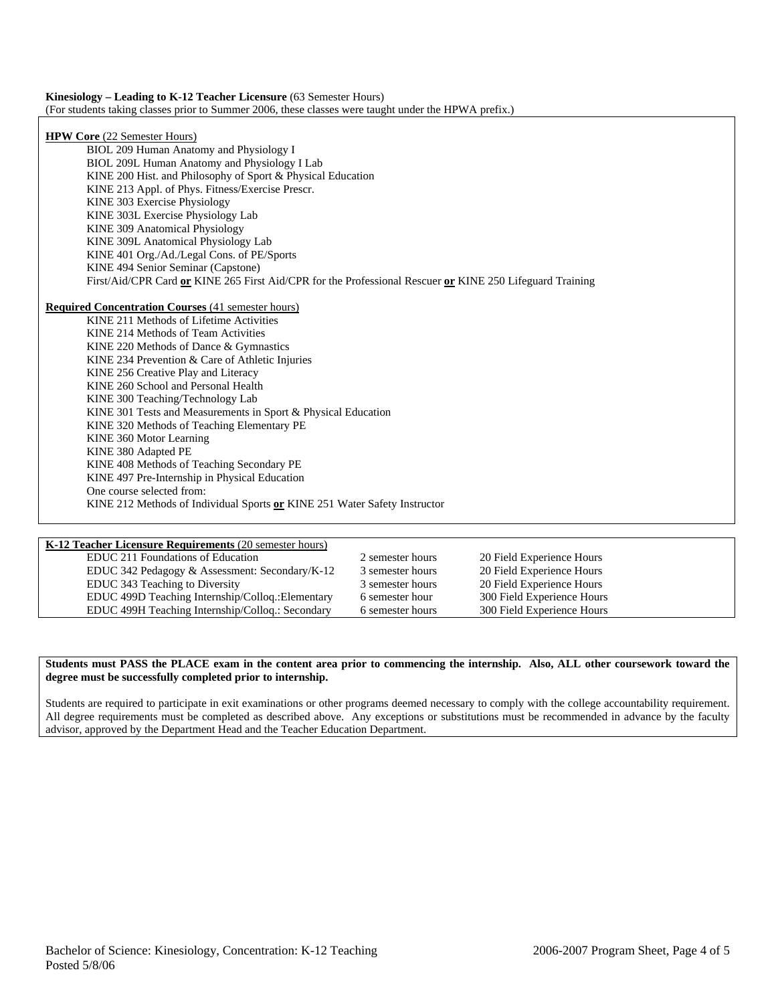| <b>Kinesiology – Leading to K-12 Teacher Licensure (63 Semester Hours)</b>                           |  |
|------------------------------------------------------------------------------------------------------|--|
| (For students taking classes prior to Summer 2006, these classes were taught under the HPWA prefix.) |  |

| <b>HPW Core</b> (22 Semester Hours)                                                                      |
|----------------------------------------------------------------------------------------------------------|
| BIOL 209 Human Anatomy and Physiology I                                                                  |
| BIOL 209L Human Anatomy and Physiology I Lab                                                             |
| KINE 200 Hist. and Philosophy of Sport & Physical Education                                              |
| KINE 213 Appl. of Phys. Fitness/Exercise Prescr.                                                         |
| KINE 303 Exercise Physiology                                                                             |
| KINE 303L Exercise Physiology Lab                                                                        |
| KINE 309 Anatomical Physiology                                                                           |
| KINE 309L Anatomical Physiology Lab                                                                      |
| KINE 401 Org./Ad./Legal Cons. of PE/Sports                                                               |
| KINE 494 Senior Seminar (Capstone)                                                                       |
| First/Aid/CPR Card or KINE 265 First Aid/CPR for the Professional Rescuer or KINE 250 Lifeguard Training |
|                                                                                                          |
| <b>Required Concentration Courses (41 semester hours)</b>                                                |
| KINE 211 Methods of Lifetime Activities                                                                  |
| KINE 214 Methods of Team Activities                                                                      |
| KINE 220 Methods of Dance & Gymnastics                                                                   |
| KINE 234 Prevention & Care of Athletic Injuries                                                          |
| KINE 256 Creative Play and Literacy                                                                      |
| KINE 260 School and Personal Health                                                                      |
| KINE 300 Teaching/Technology Lab                                                                         |
| KINE 301 Tests and Measurements in Sport & Physical Education                                            |
| KINE 320 Methods of Teaching Elementary PE                                                               |
| KINE 360 Motor Learning                                                                                  |
| KINE 380 Adapted PE                                                                                      |
| KINE 408 Methods of Teaching Secondary PE                                                                |
| KINE 497 Pre-Internship in Physical Education                                                            |
| One course selected from:                                                                                |
| KINE 212 Methods of Individual Sports or KINE 251 Water Safety Instructor                                |
|                                                                                                          |
|                                                                                                          |

| <b>K-12 Teacher Licensure Requirements (20 semester hours)</b> |                  |                            |
|----------------------------------------------------------------|------------------|----------------------------|
| EDUC 211 Foundations of Education                              | 2 semester hours | 20 Field Experience Hours  |
| EDUC 342 Pedagogy & Assessment: Secondary/K-12                 | 3 semester hours | 20 Field Experience Hours  |
| EDUC 343 Teaching to Diversity                                 | 3 semester hours | 20 Field Experience Hours  |
| EDUC 499D Teaching Internship/Colloq.: Elementary              | 6 semester hour  | 300 Field Experience Hours |
| EDUC 499H Teaching Internship/Collog.: Secondary               | 6 semester hours | 300 Field Experience Hours |

#### **Students must PASS the PLACE exam in the content area prior to commencing the internship. Also, ALL other coursework toward the degree must be successfully completed prior to internship.**

Students are required to participate in exit examinations or other programs deemed necessary to comply with the college accountability requirement. All degree requirements must be completed as described above. Any exceptions or substitutions must be recommended in advance by the faculty advisor, approved by the Department Head and the Teacher Education Department.